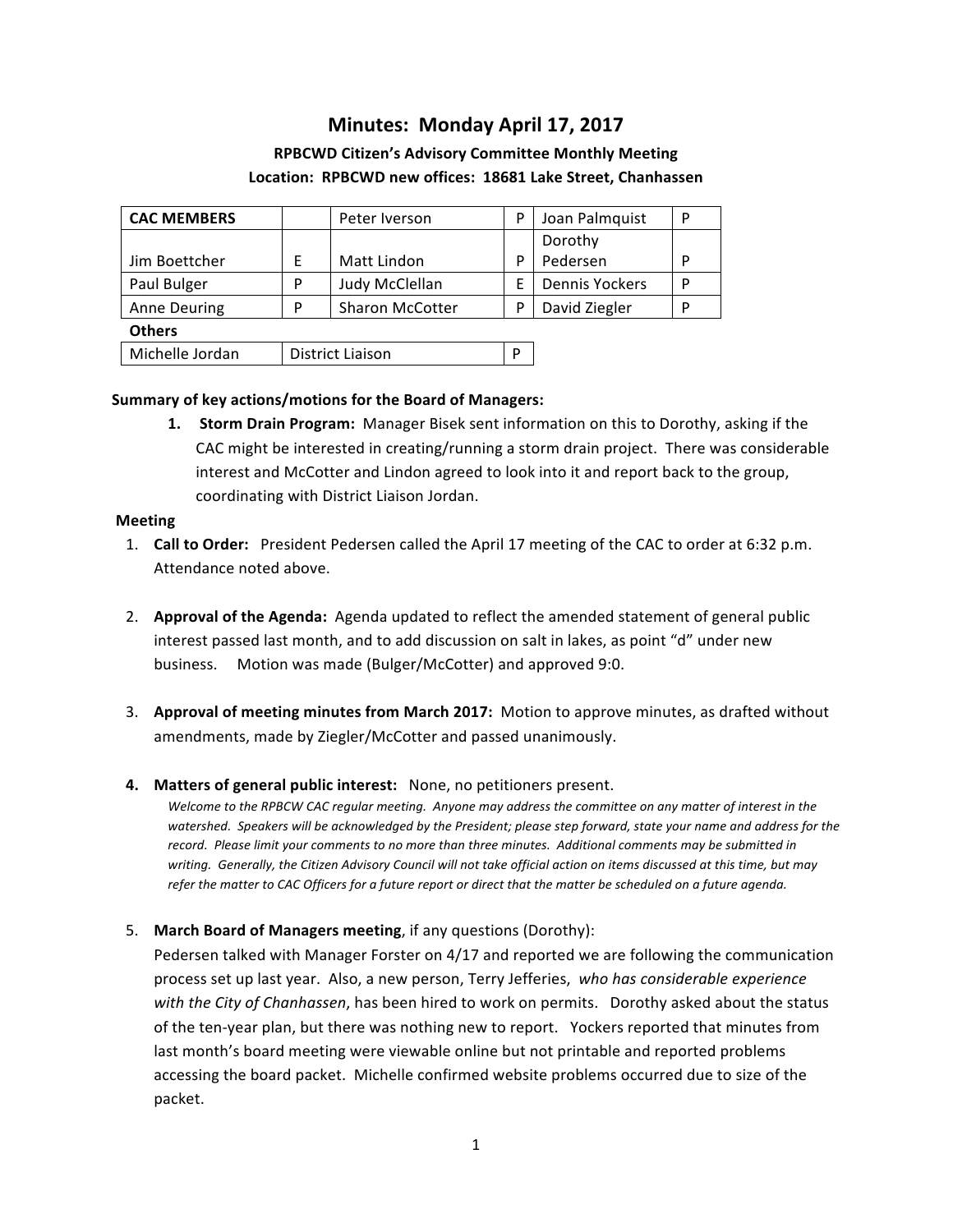# **Minutes: Monday April 17, 2017**

## **RPBCWD Citizen's Advisory Committee Monthly Meeting** Location: RPBCWD new offices: 18681 Lake Street, Chanhassen

| <b>CAC MEMBERS</b>  |   | Peter Iverson          | P | Joan Palmquist        | P |
|---------------------|---|------------------------|---|-----------------------|---|
|                     |   |                        |   | Dorothy               |   |
| Jim Boettcher       | E | Matt Lindon            | P | Pedersen              | P |
| Paul Bulger         | P | Judy McClellan         | F | <b>Dennis Yockers</b> | P |
| <b>Anne Deuring</b> | P | <b>Sharon McCotter</b> | P | David Ziegler         | P |
| <b>Others</b>       |   |                        |   |                       |   |
| Michelle Jordan     |   | District Liaison       |   |                       |   |

### **Summary of key actions/motions for the Board of Managers:**

**1. Storm Drain Program:** Manager Bisek sent information on this to Dorothy, asking if the CAC might be interested in creating/running a storm drain project. There was considerable interest and McCotter and Lindon agreed to look into it and report back to the group, coordinating with District Liaison Jordan.

### **Meeting**

- 1. **Call to Order:** President Pedersen called the April 17 meeting of the CAC to order at 6:32 p.m. Attendance noted above.
- 2. **Approval of the Agenda:** Agenda updated to reflect the amended statement of general public interest passed last month, and to add discussion on salt in lakes, as point "d" under new business. Motion was made (Bulger/McCotter) and approved 9:0.
- 3. Approval of meeting minutes from March 2017: Motion to approve minutes, as drafted without amendments, made by Ziegler/McCotter and passed unanimously.

### **4.** Matters of general public interest: None, no petitioners present.

Welcome to the RPBCW CAC regular meeting. Anyone may address the committee on any matter of interest in the watershed. Speakers will be acknowledged by the President; please step forward, state your name and address for the record. Please limit your comments to no more than three minutes. Additional comments may be submitted in writing. Generally, the Citizen Advisory Council will not take official action on items discussed at this time, but may refer the matter to CAC Officers for a future report or direct that the matter be scheduled on a future agenda.

5. **March Board of Managers meeting**, if any questions (Dorothy):

Pedersen talked with Manager Forster on  $4/17$  and reported we are following the communication process set up last year. Also, a new person, Terry Jefferies, who has *considerable experience with* the City of Chanhassen, has been hired to work on permits. Dorothy asked about the status of the ten-year plan, but there was nothing new to report. Yockers reported that minutes from last month's board meeting were viewable online but not printable and reported problems accessing the board packet. Michelle confirmed website problems occurred due to size of the packet.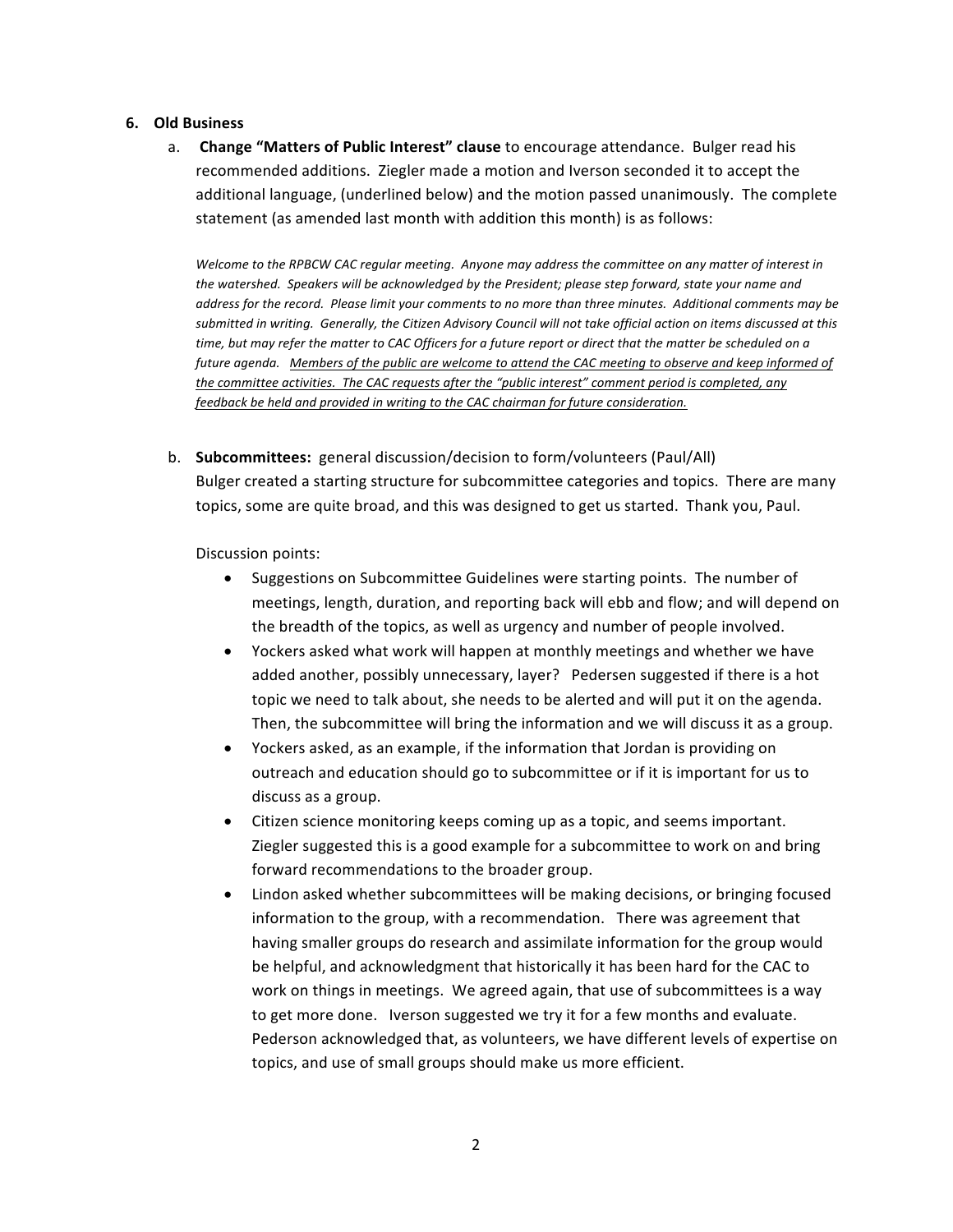#### **6. Old Business**

a. Change "Matters of Public Interest" clause to encourage attendance. Bulger read his recommended additions. Ziegler made a motion and Iverson seconded it to accept the additional language, (underlined below) and the motion passed unanimously. The complete statement (as amended last month with addition this month) is as follows:

Welcome to the RPBCW CAC regular meeting. Anyone may address the committee on any matter of interest in the watershed. Speakers will be acknowledged by the President; please step forward, state your name and *address for the record.* Please limit your comments to no more than three minutes. Additional comments may be submitted in writing. Generally, the Citizen Advisory Council will not take official action on items discussed at this *time, but may refer the matter to CAC Officers for a future report or direct that the matter be scheduled on a future agenda.* Members of the public are welcome to attend the CAC meeting to observe and keep informed of *the committee activities. The CAC requests after the "public interest" comment period is completed, any* feedback be held and provided in writing to the CAC chairman for future consideration.

b. **Subcommittees:** general discussion/decision to form/volunteers (Paul/All) Bulger created a starting structure for subcommittee categories and topics. There are many topics, some are quite broad, and this was designed to get us started. Thank you, Paul.

Discussion points:

- Suggestions on Subcommittee Guidelines were starting points. The number of meetings, length, duration, and reporting back will ebb and flow; and will depend on the breadth of the topics, as well as urgency and number of people involved.
- Yockers asked what work will happen at monthly meetings and whether we have added another, possibly unnecessary, layer? Pedersen suggested if there is a hot topic we need to talk about, she needs to be alerted and will put it on the agenda. Then, the subcommittee will bring the information and we will discuss it as a group.
- Yockers asked, as an example, if the information that Jordan is providing on outreach and education should go to subcommittee or if it is important for us to discuss as a group.
- Citizen science monitoring keeps coming up as a topic, and seems important. Ziegler suggested this is a good example for a subcommittee to work on and bring forward recommendations to the broader group.
- Lindon asked whether subcommittees will be making decisions, or bringing focused information to the group, with a recommendation. There was agreement that having smaller groups do research and assimilate information for the group would be helpful, and acknowledgment that historically it has been hard for the CAC to work on things in meetings. We agreed again, that use of subcommittees is a way to get more done. Iverson suggested we try it for a few months and evaluate. Pederson acknowledged that, as volunteers, we have different levels of expertise on topics, and use of small groups should make us more efficient.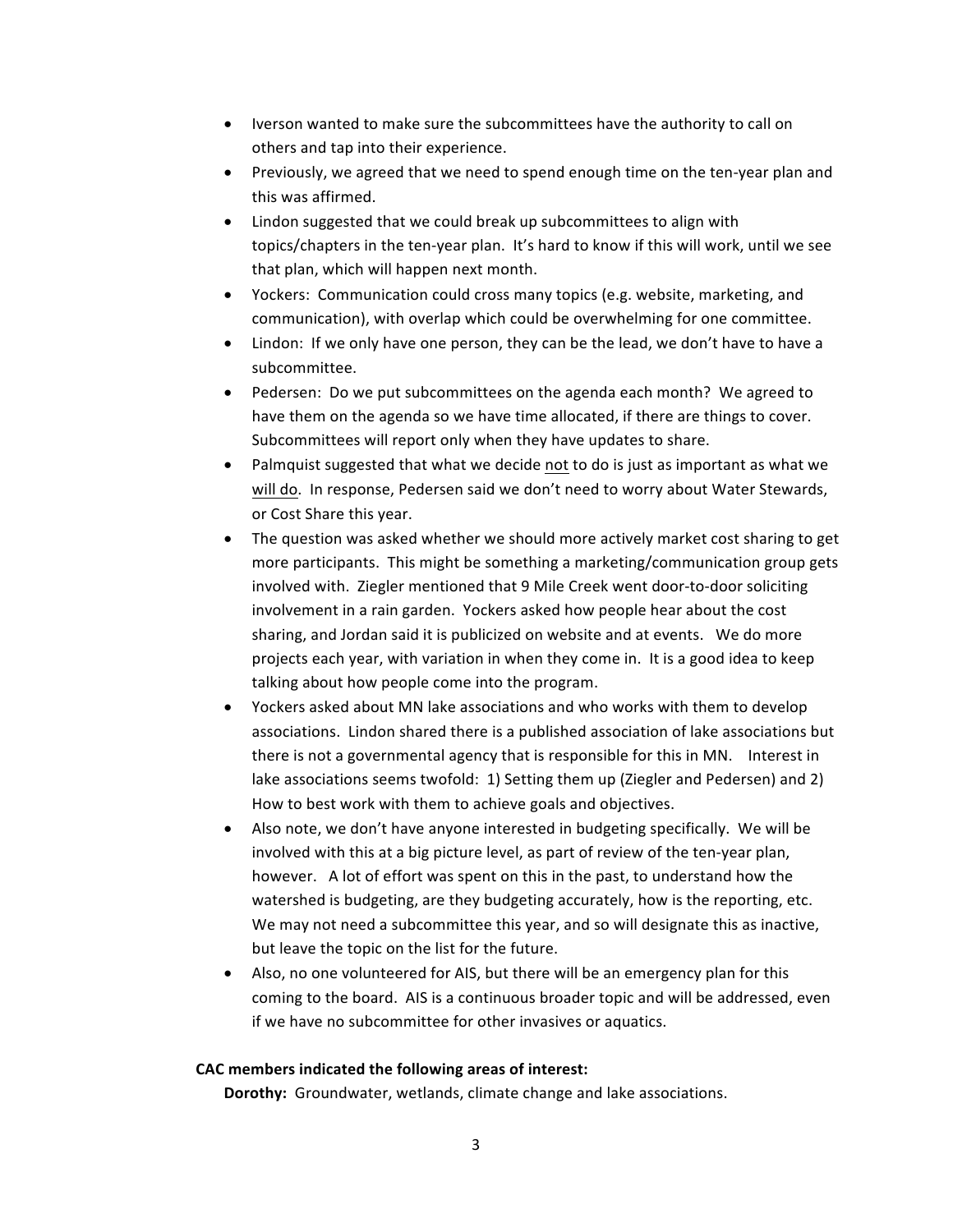- Iverson wanted to make sure the subcommittees have the authority to call on others and tap into their experience.
- Previously, we agreed that we need to spend enough time on the ten-year plan and this was affirmed.
- Lindon suggested that we could break up subcommittees to align with topics/chapters in the ten-year plan. It's hard to know if this will work, until we see that plan, which will happen next month.
- Yockers: Communication could cross many topics (e.g. website, marketing, and communication), with overlap which could be overwhelming for one committee.
- Lindon: If we only have one person, they can be the lead, we don't have to have a subcommittee.
- Pedersen: Do we put subcommittees on the agenda each month? We agreed to have them on the agenda so we have time allocated, if there are things to cover. Subcommittees will report only when they have updates to share.
- Palmquist suggested that what we decide not to do is just as important as what we will do. In response, Pedersen said we don't need to worry about Water Stewards, or Cost Share this year.
- The question was asked whether we should more actively market cost sharing to get more participants. This might be something a marketing/communication group gets involved with. Ziegler mentioned that 9 Mile Creek went door-to-door soliciting involvement in a rain garden. Yockers asked how people hear about the cost sharing, and Jordan said it is publicized on website and at events. We do more projects each year, with variation in when they come in. It is a good idea to keep talking about how people come into the program.
- Yockers asked about MN lake associations and who works with them to develop associations. Lindon shared there is a published association of lake associations but there is not a governmental agency that is responsible for this in MN. Interest in lake associations seems twofold: 1) Setting them up (Ziegler and Pedersen) and 2) How to best work with them to achieve goals and objectives.
- Also note, we don't have anyone interested in budgeting specifically. We will be involved with this at a big picture level, as part of review of the ten-year plan, however. A lot of effort was spent on this in the past, to understand how the watershed is budgeting, are they budgeting accurately, how is the reporting, etc. We may not need a subcommittee this year, and so will designate this as inactive, but leave the topic on the list for the future.
- Also, no one volunteered for AIS, but there will be an emergency plan for this coming to the board. AIS is a continuous broader topic and will be addressed, even if we have no subcommittee for other invasives or aquatics.

### CAC members indicated the following areas of interest:

**Dorothy:** Groundwater, wetlands, climate change and lake associations.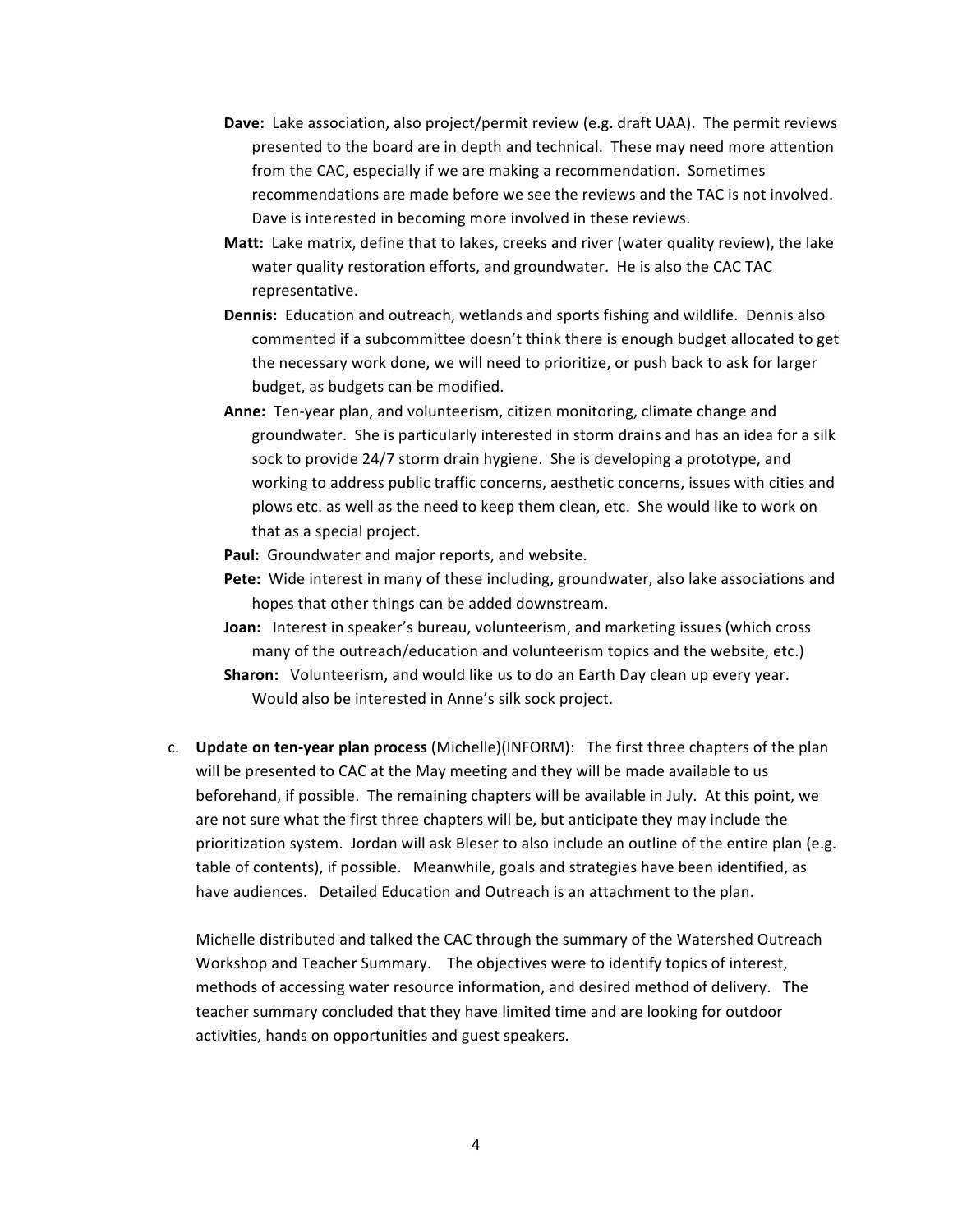- **Dave:** Lake association, also project/permit review (e.g. draft UAA). The permit reviews presented to the board are in depth and technical. These may need more attention from the CAC, especially if we are making a recommendation. Sometimes recommendations are made before we see the reviews and the TAC is not involved. Dave is interested in becoming more involved in these reviews.
- **Matt:** Lake matrix, define that to lakes, creeks and river (water quality review), the lake water quality restoration efforts, and groundwater. He is also the CAC TAC representative.
- **Dennis:** Education and outreach, wetlands and sports fishing and wildlife. Dennis also commented if a subcommittee doesn't think there is enough budget allocated to get the necessary work done, we will need to prioritize, or push back to ask for larger budget, as budgets can be modified.
- Anne: Ten-year plan, and volunteerism, citizen monitoring, climate change and groundwater. She is particularly interested in storm drains and has an idea for a silk sock to provide 24/7 storm drain hygiene. She is developing a prototype, and working to address public traffic concerns, aesthetic concerns, issues with cities and plows etc. as well as the need to keep them clean, etc. She would like to work on that as a special project.

Paul: Groundwater and major reports, and website.

- **Pete:** Wide interest in many of these including, groundwater, also lake associations and hopes that other things can be added downstream.
- **Joan:** Interest in speaker's bureau, volunteerism, and marketing issues (which cross many of the outreach/education and volunteerism topics and the website, etc.) **Sharon:** Volunteerism, and would like us to do an Earth Day clean up every year. Would also be interested in Anne's silk sock project.
- c. **Update on ten-year plan process** (Michelle)(INFORM): The first three chapters of the plan will be presented to CAC at the May meeting and they will be made available to us beforehand, if possible. The remaining chapters will be available in July. At this point, we are not sure what the first three chapters will be, but anticipate they may include the prioritization system. Jordan will ask Bleser to also include an outline of the entire plan (e.g. table of contents), if possible. Meanwhile, goals and strategies have been identified, as have audiences. Detailed Education and Outreach is an attachment to the plan.

Michelle distributed and talked the CAC through the summary of the Watershed Outreach Workshop and Teacher Summary. The objectives were to identify topics of interest, methods of accessing water resource information, and desired method of delivery. The teacher summary concluded that they have limited time and are looking for outdoor activities, hands on opportunities and guest speakers.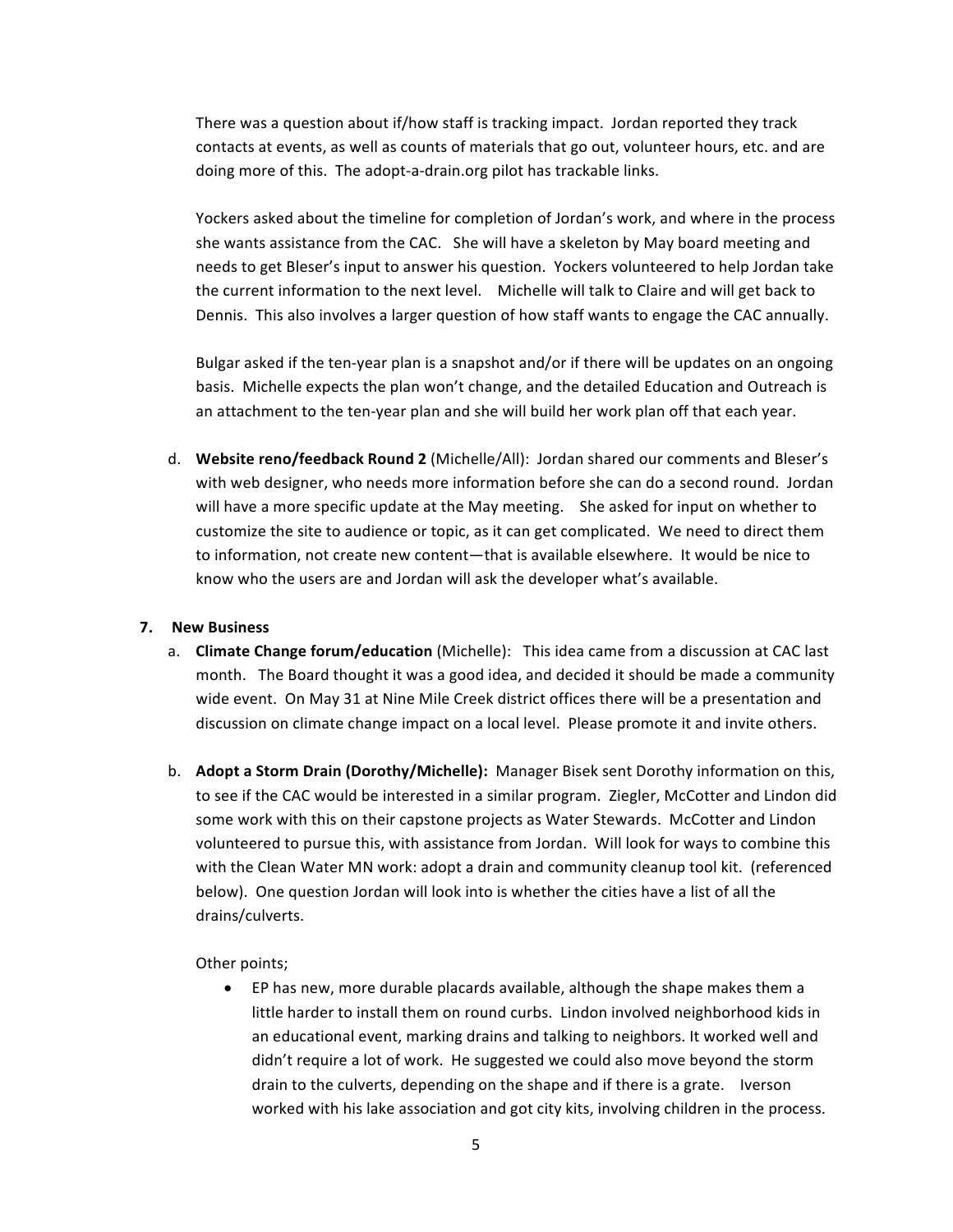There was a question about if/how staff is tracking impact. Jordan reported they track contacts at events, as well as counts of materials that go out, volunteer hours, etc. and are doing more of this. The adopt-a-drain.org pilot has trackable links.

Yockers asked about the timeline for completion of Jordan's work, and where in the process she wants assistance from the CAC. She will have a skeleton by May board meeting and needs to get Bleser's input to answer his question. Yockers volunteered to help Jordan take the current information to the next level. Michelle will talk to Claire and will get back to Dennis. This also involves a larger question of how staff wants to engage the CAC annually.

Bulgar asked if the ten-year plan is a snapshot and/or if there will be updates on an ongoing basis. Michelle expects the plan won't change, and the detailed Education and Outreach is an attachment to the ten-year plan and she will build her work plan off that each year.

d. Website reno/feedback Round 2 (Michelle/All): Jordan shared our comments and Bleser's with web designer, who needs more information before she can do a second round. Jordan will have a more specific update at the May meeting. She asked for input on whether to customize the site to audience or topic, as it can get complicated. We need to direct them to information, not create new content—that is available elsewhere. It would be nice to know who the users are and Jordan will ask the developer what's available.

### **7. New Business**

- a. **Climate Change forum/education** (Michelle): This idea came from a discussion at CAC last month. The Board thought it was a good idea, and decided it should be made a community wide event. On May 31 at Nine Mile Creek district offices there will be a presentation and discussion on climate change impact on a local level. Please promote it and invite others.
- b. **Adopt a Storm Drain (Dorothy/Michelle):** Manager Bisek sent Dorothy information on this, to see if the CAC would be interested in a similar program. Ziegler, McCotter and Lindon did some work with this on their capstone projects as Water Stewards. McCotter and Lindon volunteered to pursue this, with assistance from Jordan. Will look for ways to combine this with the Clean Water MN work: adopt a drain and community cleanup tool kit. (referenced below). One question Jordan will look into is whether the cities have a list of all the drains/culverts.

Other points;

• EP has new, more durable placards available, although the shape makes them a little harder to install them on round curbs. Lindon involved neighborhood kids in an educational event, marking drains and talking to neighbors. It worked well and didn't require a lot of work. He suggested we could also move beyond the storm drain to the culverts, depending on the shape and if there is a grate. Iverson worked with his lake association and got city kits, involving children in the process.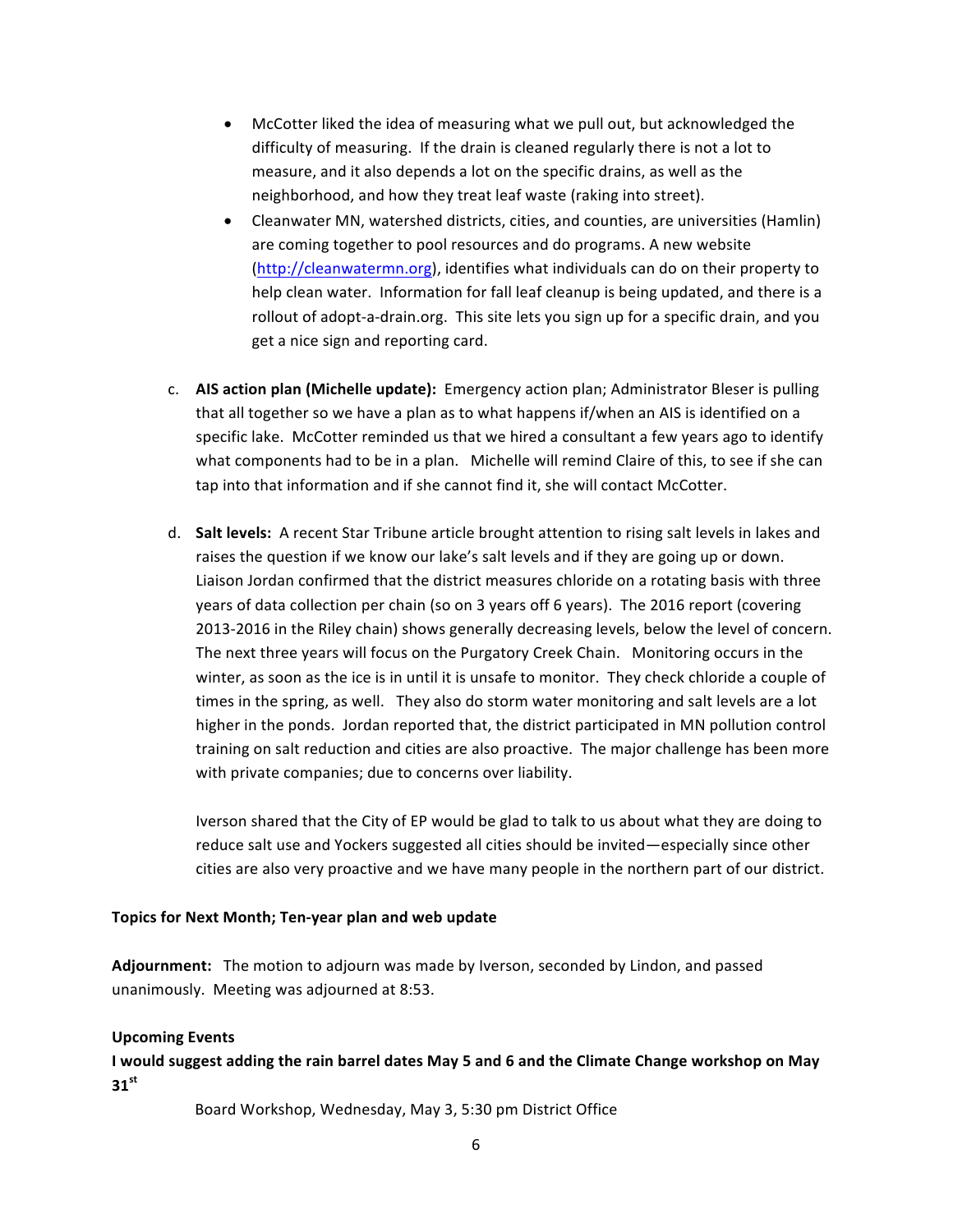- McCotter liked the idea of measuring what we pull out, but acknowledged the difficulty of measuring. If the drain is cleaned regularly there is not a lot to measure, and it also depends a lot on the specific drains, as well as the neighborhood, and how they treat leaf waste (raking into street).
- Cleanwater MN, watershed districts, cities, and counties, are universities (Hamlin) are coming together to pool resources and do programs. A new website (http://cleanwatermn.org), identifies what individuals can do on their property to help clean water. Information for fall leaf cleanup is being updated, and there is a rollout of adopt-a-drain.org. This site lets you sign up for a specific drain, and you get a nice sign and reporting card.
- c. **AIS action plan (Michelle update):** Emergency action plan; Administrator Bleser is pulling that all together so we have a plan as to what happens if/when an AIS is identified on a specific lake. McCotter reminded us that we hired a consultant a few years ago to identify what components had to be in a plan. Michelle will remind Claire of this, to see if she can tap into that information and if she cannot find it, she will contact McCotter.
- d. **Salt levels:** A recent Star Tribune article brought attention to rising salt levels in lakes and raises the question if we know our lake's salt levels and if they are going up or down. Liaison Jordan confirmed that the district measures chloride on a rotating basis with three years of data collection per chain (so on 3 years off 6 years). The 2016 report (covering 2013-2016 in the Riley chain) shows generally decreasing levels, below the level of concern. The next three years will focus on the Purgatory Creek Chain. Monitoring occurs in the winter, as soon as the ice is in until it is unsafe to monitor. They check chloride a couple of times in the spring, as well. They also do storm water monitoring and salt levels are a lot higher in the ponds. Jordan reported that, the district participated in MN pollution control training on salt reduction and cities are also proactive. The major challenge has been more with private companies; due to concerns over liability.

Iverson shared that the City of EP would be glad to talk to us about what they are doing to reduce salt use and Yockers suggested all cities should be invited—especially since other cities are also very proactive and we have many people in the northern part of our district.

### Topics for Next Month; Ten-year plan and web update

Adjournment: The motion to adjourn was made by Iverson, seconded by Lindon, and passed unanimously. Meeting was adjourned at 8:53.

#### **Upcoming Events**

I would suggest adding the rain barrel dates May 5 and 6 and the Climate Change workshop on May **31st**

Board Workshop, Wednesday, May 3, 5:30 pm District Office